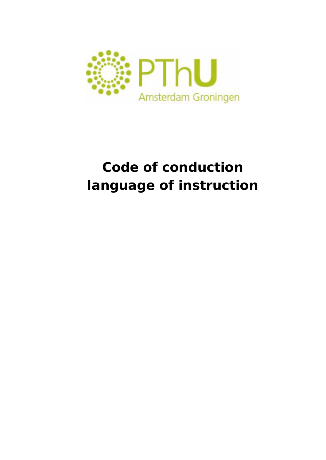

# **Code of conduction language of instruction**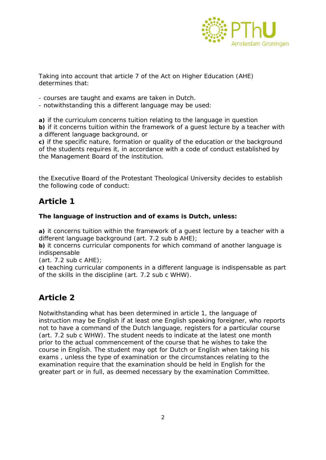

Taking into account that article 7 of the Act on Higher Education (AHE) determines that:

- courses are taught and exams are taken in Dutch.

- notwithstanding this a different language may be used:

**a)** if the curriculum concerns tuition relating to the language in question **b)** if it concerns tuition within the framework of a guest lecture by a teacher with a different language background, or

**c)** if the specific nature, formation or quality of the education or the background of the students requires it, in accordance with a code of conduct established by the Management Board of the institution.

the Executive Board of the Protestant Theological University decides to establish the following code of conduct:

## **Article 1**

## **The language of instruction and of exams is Dutch, unless:**

**a)** it concerns tuition within the framework of a guest lecture by a teacher with a different language background (art. 7.2 sub b AHE);

**b)** it concerns curricular components for which command of another language is indispensable

(art. 7.2 sub c AHE);

**c)** teaching curricular components in a different language is indispensable as part of the skills in the discipline (art. 7.2 sub c WHW).

## **Article 2**

Notwithstanding what has been determined in article 1, the language of instruction may be English if at least one English speaking foreigner, who reports not to have a command of the Dutch language, registers for a particular course (art. 7.2 sub c WHW). The student needs to indicate at the latest one month prior to the actual commencement of the course that he wishes to take the course in English. The student may opt for Dutch or English when taking his exams , unless the type of examination or the circumstances relating to the examination require that the examination should be held in English for the greater part or in full, as deemed necessary by the examination Committee.